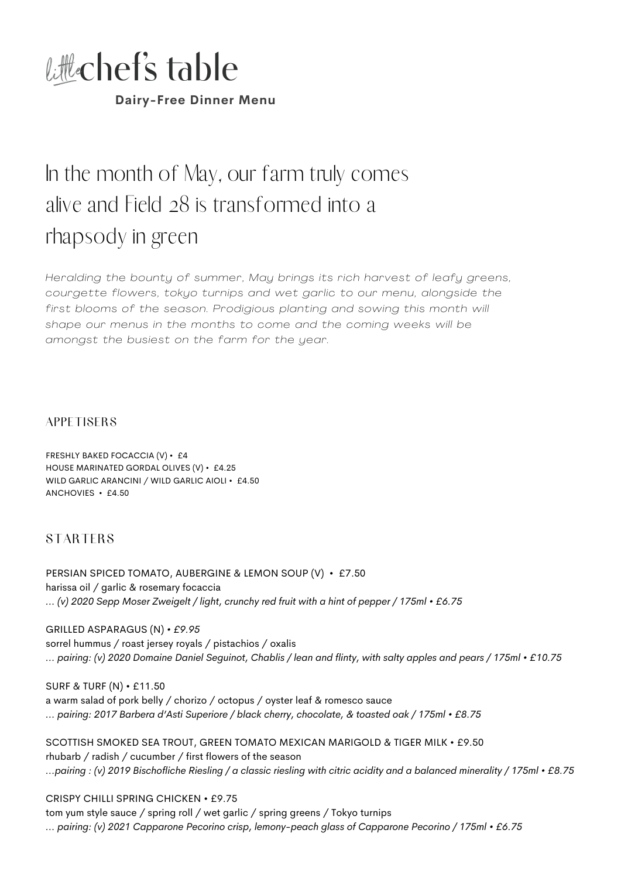

**Dairy-Free Dinner Menu**

# In the month of May, our farm truly comes alive and Field 28 is transformed into a rhapsody in green

*Heralding the bounty of summer, May brings its rich harvest of leafy greens, courgette flowers, tokyo turnips and wet garl ic to our menu, alongside the first blooms of the season. Prodigious planting and sowing this month wi l l shape our menus in the months to come and the coming weeks wi l l be amongst the busiest on the farm for the year.*

#### **APPETISERS**

FRESHLY BAKED FOCACCIA (V) • £4 HOUSE MARINATED GORDAL OLIVES (V) • £4.25 WILD GARLIC ARANCINI / WILD GARLIC AIOLI • £4.50 ANCHOVIES • £4.50

## **STARTERS**

PERSIAN SPICED TOMATO, AUBERGINE & LEMON SOUP (V) • £7.50 harissa oil / garlic & rosemary focaccia ... (v) 2020 Sepp Moser Zweigelt / light, crunchy red fruit with a hint of pepper / 175ml • £6.75

GRILLED ASPARAGUS (N) *• £9.95* sorrel hummus / roast jersey royals / pistachios / oxalis ... pairing: (v) 2020 Domaine Daniel Seguinot, Chablis / lean and flinty, with salty apples and pears / 175ml • £10.75

SURF & TURF (N) • £11.50 a warm salad of pork belly / chorizo / octopus / oyster leaf & romesco sauce *... pairing: 2017 Barbera d'Asti Superiore / black cherry, chocolate, & toasted oak / 175ml • £8.75*

SCOTTISH SMOKED SEA TROUT, GREEN TOMATO MEXICAN MARIGOLD & TIGER MILK • £9.50 rhubarb / radish / cucumber / first flowers of the season ...pairing: (v) 2019 Bischofliche Riesling / a classic riesling with citric acidity and a balanced minerality / 175ml • £8.75

#### CRISPY CHILLI SPRING CHICKEN • £9.75

tom yum style sauce / spring roll / wet garlic / spring greens / Tokyo turnips *... pairing: (v) 2021 Capparone Pecorino crisp, lemony-peach glass of Capparone Pecorino / 175ml • £6.75*